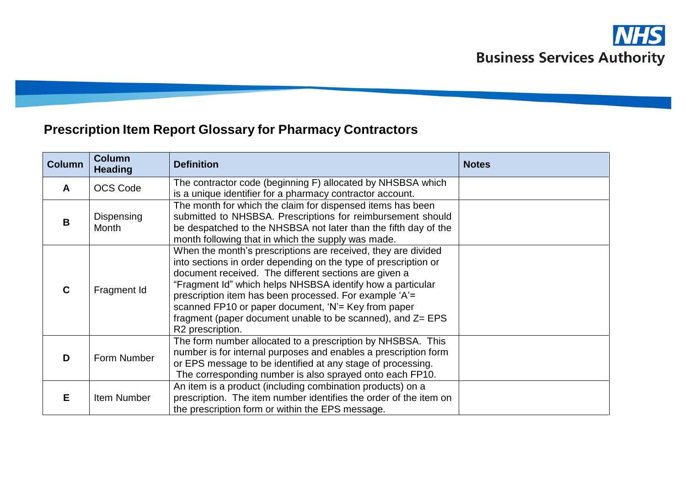# **Prescription Item Report Glossary for Pharmacy Contractors**

| <b>Column</b> | <b>Column</b><br><b>Heading</b> | <b>Definition</b>                                                                                                                                                                                                                                                                                                                                                                                                                                          | <b>Notes</b> |
|---------------|---------------------------------|------------------------------------------------------------------------------------------------------------------------------------------------------------------------------------------------------------------------------------------------------------------------------------------------------------------------------------------------------------------------------------------------------------------------------------------------------------|--------------|
| A             | <b>OCS Code</b>                 | The contractor code (beginning F) allocated by NHSBSA which<br>is a unique identifier for a pharmacy contractor account.                                                                                                                                                                                                                                                                                                                                   |              |
| B             | Dispensing<br>Month             | The month for which the claim for dispensed items has been<br>submitted to NHSBSA. Prescriptions for reimbursement should<br>be despatched to the NHSBSA not later than the fifth day of the<br>month following that in which the supply was made.                                                                                                                                                                                                         |              |
| $\mathbf C$   | Fragment Id                     | When the month's prescriptions are received, they are divided<br>into sections in order depending on the type of prescription or<br>document received. The different sections are given a<br>"Fragment Id" which helps NHSBSA identify how a particular<br>prescription item has been processed. For example 'A'=<br>scanned FP10 or paper document, 'N'= Key from paper<br>fragment (paper document unable to be scanned), and Z= EPS<br>R2 prescription. |              |
| D             | Form Number                     | The form number allocated to a prescription by NHSBSA. This<br>number is for internal purposes and enables a prescription form<br>or EPS message to be identified at any stage of processing.<br>The corresponding number is also sprayed onto each FP10.                                                                                                                                                                                                  |              |
| E             | Item Number                     | An item is a product (including combination products) on a<br>prescription. The item number identifies the order of the item on<br>the prescription form or within the EPS message.                                                                                                                                                                                                                                                                        |              |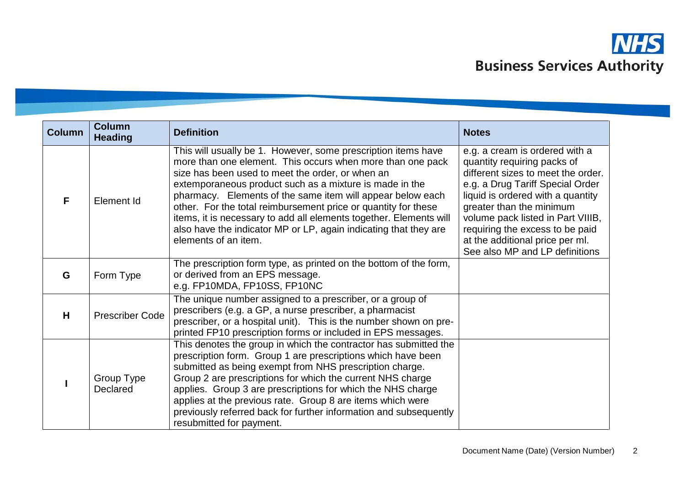

| <b>Column</b> | <b>Column</b><br><b>Heading</b> | <b>Definition</b>                                                                                                                                                                                                                                                                                                                                                                                                                                                                                                                            | <b>Notes</b>                                                                                                                                                                                                                                                                                                                                          |
|---------------|---------------------------------|----------------------------------------------------------------------------------------------------------------------------------------------------------------------------------------------------------------------------------------------------------------------------------------------------------------------------------------------------------------------------------------------------------------------------------------------------------------------------------------------------------------------------------------------|-------------------------------------------------------------------------------------------------------------------------------------------------------------------------------------------------------------------------------------------------------------------------------------------------------------------------------------------------------|
| F             | Element Id                      | This will usually be 1. However, some prescription items have<br>more than one element. This occurs when more than one pack<br>size has been used to meet the order, or when an<br>extemporaneous product such as a mixture is made in the<br>pharmacy. Elements of the same item will appear below each<br>other. For the total reimbursement price or quantity for these<br>items, it is necessary to add all elements together. Elements will<br>also have the indicator MP or LP, again indicating that they are<br>elements of an item. | e.g. a cream is ordered with a<br>quantity requiring packs of<br>different sizes to meet the order.<br>e.g. a Drug Tariff Special Order<br>liquid is ordered with a quantity<br>greater than the minimum<br>volume pack listed in Part VIIIB,<br>requiring the excess to be paid<br>at the additional price per ml.<br>See also MP and LP definitions |
| G             | Form Type                       | The prescription form type, as printed on the bottom of the form,<br>or derived from an EPS message.<br>e.g. FP10MDA, FP10SS, FP10NC                                                                                                                                                                                                                                                                                                                                                                                                         |                                                                                                                                                                                                                                                                                                                                                       |
| H             | <b>Prescriber Code</b>          | The unique number assigned to a prescriber, or a group of<br>prescribers (e.g. a GP, a nurse prescriber, a pharmacist<br>prescriber, or a hospital unit). This is the number shown on pre-<br>printed FP10 prescription forms or included in EPS messages.                                                                                                                                                                                                                                                                                   |                                                                                                                                                                                                                                                                                                                                                       |
|               | Group Type<br>Declared          | This denotes the group in which the contractor has submitted the<br>prescription form. Group 1 are prescriptions which have been<br>submitted as being exempt from NHS prescription charge.<br>Group 2 are prescriptions for which the current NHS charge<br>applies. Group 3 are prescriptions for which the NHS charge<br>applies at the previous rate. Group 8 are items which were<br>previously referred back for further information and subsequently<br>resubmitted for payment.                                                      |                                                                                                                                                                                                                                                                                                                                                       |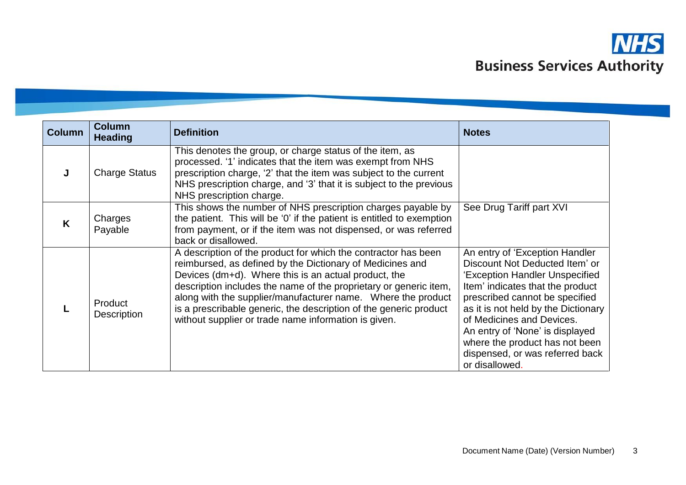

| <b>Column</b> | <b>Column</b><br><b>Heading</b> | <b>Definition</b>                                                                                                                                                                                                                                                                                                                                                                                                                                     | <b>Notes</b>                                                                                                                                                                                                                                                                                                                                                           |
|---------------|---------------------------------|-------------------------------------------------------------------------------------------------------------------------------------------------------------------------------------------------------------------------------------------------------------------------------------------------------------------------------------------------------------------------------------------------------------------------------------------------------|------------------------------------------------------------------------------------------------------------------------------------------------------------------------------------------------------------------------------------------------------------------------------------------------------------------------------------------------------------------------|
|               | <b>Charge Status</b>            | This denotes the group, or charge status of the item, as<br>processed. '1' indicates that the item was exempt from NHS<br>prescription charge, '2' that the item was subject to the current<br>NHS prescription charge, and '3' that it is subject to the previous<br>NHS prescription charge.                                                                                                                                                        |                                                                                                                                                                                                                                                                                                                                                                        |
| K             | Charges<br>Payable              | This shows the number of NHS prescription charges payable by<br>the patient. This will be '0' if the patient is entitled to exemption<br>from payment, or if the item was not dispensed, or was referred<br>back or disallowed.                                                                                                                                                                                                                       | See Drug Tariff part XVI                                                                                                                                                                                                                                                                                                                                               |
|               | Product<br>Description          | A description of the product for which the contractor has been<br>reimbursed, as defined by the Dictionary of Medicines and<br>Devices (dm+d). Where this is an actual product, the<br>description includes the name of the proprietary or generic item,<br>along with the supplier/manufacturer name. Where the product<br>is a prescribable generic, the description of the generic product<br>without supplier or trade name information is given. | An entry of 'Exception Handler<br>Discount Not Deducted Item' or<br>'Exception Handler Unspecified<br>Item' indicates that the product<br>prescribed cannot be specified<br>as it is not held by the Dictionary<br>of Medicines and Devices.<br>An entry of 'None' is displayed<br>where the product has not been<br>dispensed, or was referred back<br>or disallowed. |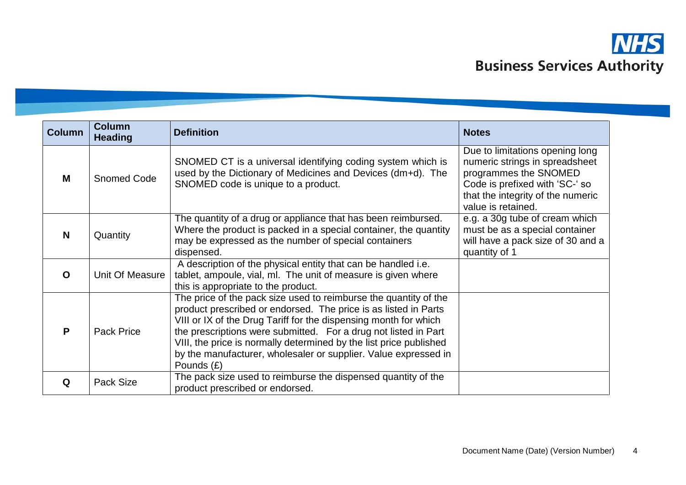

| <b>Column</b> | <b>Column</b><br><b>Heading</b> | <b>Definition</b>                                                                                                                                                                                                                                                                                                                                                                                                                   | <b>Notes</b>                                                                                                                                                                            |
|---------------|---------------------------------|-------------------------------------------------------------------------------------------------------------------------------------------------------------------------------------------------------------------------------------------------------------------------------------------------------------------------------------------------------------------------------------------------------------------------------------|-----------------------------------------------------------------------------------------------------------------------------------------------------------------------------------------|
| M             | <b>Snomed Code</b>              | SNOMED CT is a universal identifying coding system which is<br>used by the Dictionary of Medicines and Devices (dm+d). The<br>SNOMED code is unique to a product.                                                                                                                                                                                                                                                                   | Due to limitations opening long<br>numeric strings in spreadsheet<br>programmes the SNOMED<br>Code is prefixed with 'SC-' so<br>that the integrity of the numeric<br>value is retained. |
| N             | Quantity                        | The quantity of a drug or appliance that has been reimbursed.<br>Where the product is packed in a special container, the quantity<br>may be expressed as the number of special containers<br>dispensed.                                                                                                                                                                                                                             | e.g. a 30g tube of cream which<br>must be as a special container<br>will have a pack size of 30 and a<br>quantity of 1                                                                  |
| $\mathbf O$   | Unit Of Measure                 | A description of the physical entity that can be handled i.e.<br>tablet, ampoule, vial, ml. The unit of measure is given where<br>this is appropriate to the product.                                                                                                                                                                                                                                                               |                                                                                                                                                                                         |
| P             | <b>Pack Price</b>               | The price of the pack size used to reimburse the quantity of the<br>product prescribed or endorsed. The price is as listed in Parts<br>VIII or IX of the Drug Tariff for the dispensing month for which<br>the prescriptions were submitted. For a drug not listed in Part<br>VIII, the price is normally determined by the list price published<br>by the manufacturer, wholesaler or supplier. Value expressed in<br>Pounds $(E)$ |                                                                                                                                                                                         |
| Q             | Pack Size                       | The pack size used to reimburse the dispensed quantity of the<br>product prescribed or endorsed.                                                                                                                                                                                                                                                                                                                                    |                                                                                                                                                                                         |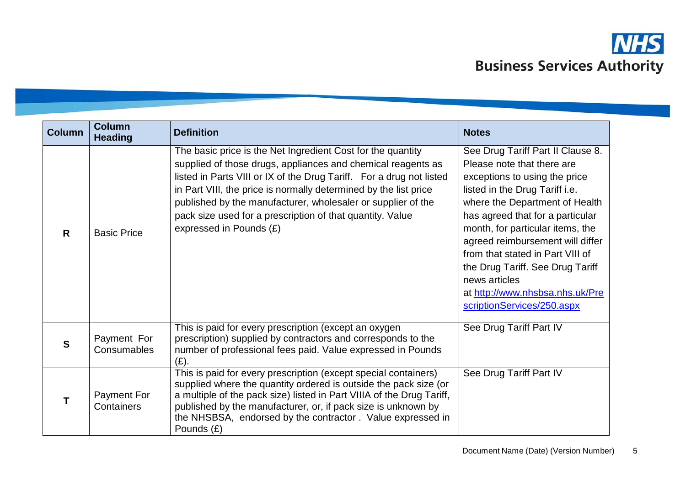

| <b>Column</b> | <b>Column</b><br><b>Heading</b>  | <b>Definition</b>                                                                                                                                                                                                                                                                                                                                                                                                               | <b>Notes</b>                                                                                                                                                                                                                                                                                                                                                                                                                               |
|---------------|----------------------------------|---------------------------------------------------------------------------------------------------------------------------------------------------------------------------------------------------------------------------------------------------------------------------------------------------------------------------------------------------------------------------------------------------------------------------------|--------------------------------------------------------------------------------------------------------------------------------------------------------------------------------------------------------------------------------------------------------------------------------------------------------------------------------------------------------------------------------------------------------------------------------------------|
| R             | <b>Basic Price</b>               | The basic price is the Net Ingredient Cost for the quantity<br>supplied of those drugs, appliances and chemical reagents as<br>listed in Parts VIII or IX of the Drug Tariff. For a drug not listed<br>in Part VIII, the price is normally determined by the list price<br>published by the manufacturer, wholesaler or supplier of the<br>pack size used for a prescription of that quantity. Value<br>expressed in Pounds (£) | See Drug Tariff Part II Clause 8.<br>Please note that there are<br>exceptions to using the price<br>listed in the Drug Tariff i.e.<br>where the Department of Health<br>has agreed that for a particular<br>month, for particular items, the<br>agreed reimbursement will differ<br>from that stated in Part VIII of<br>the Drug Tariff. See Drug Tariff<br>news articles<br>at http://www.nhsbsa.nhs.uk/Pre<br>scriptionServices/250.aspx |
| $\mathbf{s}$  | Payment For<br>Consumables       | This is paid for every prescription (except an oxygen<br>prescription) supplied by contractors and corresponds to the<br>number of professional fees paid. Value expressed in Pounds<br>(E).                                                                                                                                                                                                                                    | See Drug Tariff Part IV                                                                                                                                                                                                                                                                                                                                                                                                                    |
| T             | <b>Payment For</b><br>Containers | This is paid for every prescription (except special containers)<br>supplied where the quantity ordered is outside the pack size (or<br>a multiple of the pack size) listed in Part VIIIA of the Drug Tariff,<br>published by the manufacturer, or, if pack size is unknown by<br>the NHSBSA, endorsed by the contractor. Value expressed in<br>Pounds $(E)$                                                                     | See Drug Tariff Part IV                                                                                                                                                                                                                                                                                                                                                                                                                    |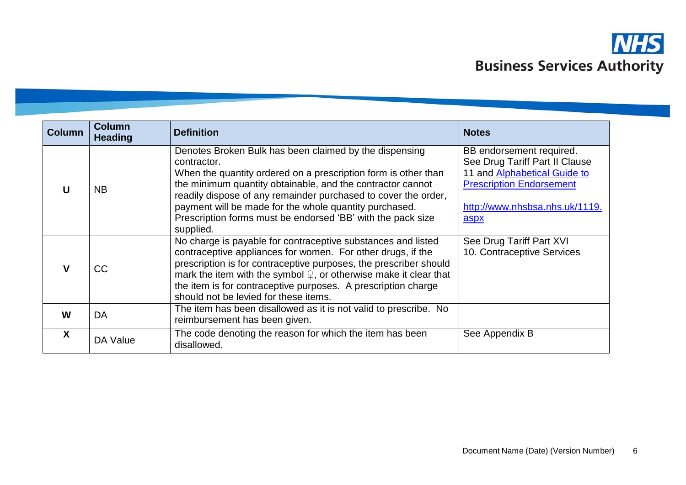

| <b>Column</b> | <b>Column</b><br><b>Heading</b> | <b>Definition</b>                                                                                                                                                                                                                                                                                                                                                                                             | <b>Notes</b>                                                                                                                                                                   |
|---------------|---------------------------------|---------------------------------------------------------------------------------------------------------------------------------------------------------------------------------------------------------------------------------------------------------------------------------------------------------------------------------------------------------------------------------------------------------------|--------------------------------------------------------------------------------------------------------------------------------------------------------------------------------|
| U             | <b>NB</b>                       | Denotes Broken Bulk has been claimed by the dispensing<br>contractor.<br>When the quantity ordered on a prescription form is other than<br>the minimum quantity obtainable, and the contractor cannot<br>readily dispose of any remainder purchased to cover the order,<br>payment will be made for the whole quantity purchased.<br>Prescription forms must be endorsed 'BB' with the pack size<br>supplied. | BB endorsement required.<br>See Drug Tariff Part II Clause<br>11 and <b>Alphabetical Guide to</b><br><b>Prescription Endorsement</b><br>http://www.nhsbsa.nhs.uk/1119.<br>aspx |
| $\mathbf v$   | <b>CC</b>                       | No charge is payable for contraceptive substances and listed<br>contraceptive appliances for women. For other drugs, if the<br>prescription is for contraceptive purposes, the prescriber should<br>mark the item with the symbol $\mathcal{Q}$ , or otherwise make it clear that<br>the item is for contraceptive purposes. A prescription charge<br>should not be levied for these items.                   | See Drug Tariff Part XVI<br>10. Contraceptive Services                                                                                                                         |
| W             | DA                              | The item has been disallowed as it is not valid to prescribe. No<br>reimbursement has been given.                                                                                                                                                                                                                                                                                                             |                                                                                                                                                                                |
| X             | DA Value                        | The code denoting the reason for which the item has been<br>disallowed.                                                                                                                                                                                                                                                                                                                                       | See Appendix B                                                                                                                                                                 |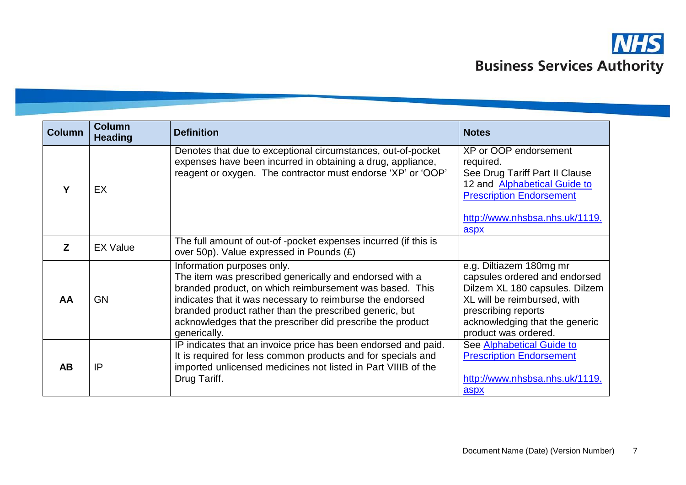

| <b>Column</b>  | <b>Column</b><br><b>Heading</b> | <b>Definition</b>                                                                                                                                                                                                                                                                                                                                      | <b>Notes</b>                                                                                                                                                                                               |
|----------------|---------------------------------|--------------------------------------------------------------------------------------------------------------------------------------------------------------------------------------------------------------------------------------------------------------------------------------------------------------------------------------------------------|------------------------------------------------------------------------------------------------------------------------------------------------------------------------------------------------------------|
| Υ              | EX                              | Denotes that due to exceptional circumstances, out-of-pocket<br>expenses have been incurred in obtaining a drug, appliance,<br>reagent or oxygen. The contractor must endorse 'XP' or 'OOP'                                                                                                                                                            | XP or OOP endorsement<br>required.<br>See Drug Tariff Part II Clause<br>12 and Alphabetical Guide to<br><b>Prescription Endorsement</b><br>http://www.nhsbsa.nhs.uk/1119.<br>aspx                          |
| $\overline{z}$ | <b>EX Value</b>                 | The full amount of out-of -pocket expenses incurred (if this is<br>over 50p). Value expressed in Pounds (£)                                                                                                                                                                                                                                            |                                                                                                                                                                                                            |
| AA             | <b>GN</b>                       | Information purposes only.<br>The item was prescribed generically and endorsed with a<br>branded product, on which reimbursement was based. This<br>indicates that it was necessary to reimburse the endorsed<br>branded product rather than the prescribed generic, but<br>acknowledges that the prescriber did prescribe the product<br>generically. | e.g. Diltiazem 180mg mr<br>capsules ordered and endorsed<br>Dilzem XL 180 capsules. Dilzem<br>XL will be reimbursed, with<br>prescribing reports<br>acknowledging that the generic<br>product was ordered. |
| <b>AB</b>      | IP                              | IP indicates that an invoice price has been endorsed and paid.<br>It is required for less common products and for specials and<br>imported unlicensed medicines not listed in Part VIIIB of the<br>Drug Tariff.                                                                                                                                        | See Alphabetical Guide to<br><b>Prescription Endorsement</b><br>http://www.nhsbsa.nhs.uk/1119.<br>aspx                                                                                                     |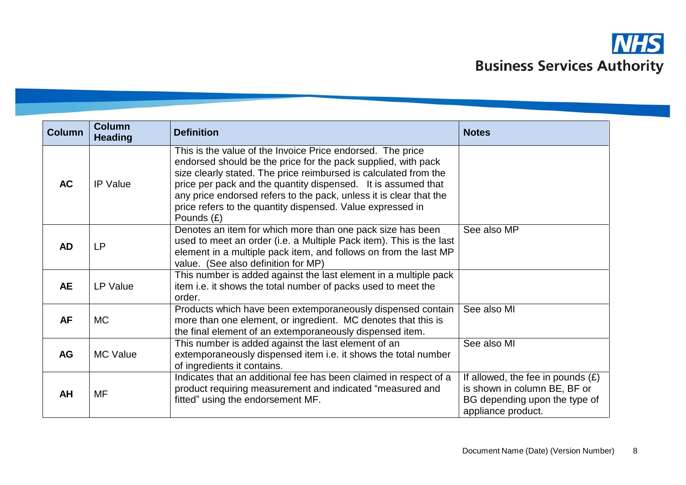

| <b>Column</b> | <b>Column</b><br><b>Heading</b> | <b>Definition</b>                                                                                                                                                                                                                                                                                                                                                                                                    | <b>Notes</b>                                                                                                               |
|---------------|---------------------------------|----------------------------------------------------------------------------------------------------------------------------------------------------------------------------------------------------------------------------------------------------------------------------------------------------------------------------------------------------------------------------------------------------------------------|----------------------------------------------------------------------------------------------------------------------------|
| <b>AC</b>     | <b>IP Value</b>                 | This is the value of the Invoice Price endorsed. The price<br>endorsed should be the price for the pack supplied, with pack<br>size clearly stated. The price reimbursed is calculated from the<br>price per pack and the quantity dispensed. It is assumed that<br>any price endorsed refers to the pack, unless it is clear that the<br>price refers to the quantity dispensed. Value expressed in<br>Pounds $(E)$ |                                                                                                                            |
| <b>AD</b>     | <b>LP</b>                       | Denotes an item for which more than one pack size has been<br>used to meet an order (i.e. a Multiple Pack item). This is the last<br>element in a multiple pack item, and follows on from the last MP<br>value. (See also definition for MP)                                                                                                                                                                         | See also MP                                                                                                                |
| <b>AE</b>     | LP Value                        | This number is added against the last element in a multiple pack<br>item i.e. it shows the total number of packs used to meet the<br>order.                                                                                                                                                                                                                                                                          |                                                                                                                            |
| <b>AF</b>     | <b>MC</b>                       | Products which have been extemporaneously dispensed contain<br>more than one element, or ingredient. MC denotes that this is<br>the final element of an extemporaneously dispensed item.                                                                                                                                                                                                                             | See also MI                                                                                                                |
| <b>AG</b>     | <b>MC Value</b>                 | This number is added against the last element of an<br>extemporaneously dispensed item i.e. it shows the total number<br>of ingredients it contains.                                                                                                                                                                                                                                                                 | See also MI                                                                                                                |
| <b>AH</b>     | MF                              | Indicates that an additional fee has been claimed in respect of a<br>product requiring measurement and indicated "measured and<br>fitted" using the endorsement MF.                                                                                                                                                                                                                                                  | If allowed, the fee in pounds $(E)$<br>is shown in column BE, BF or<br>BG depending upon the type of<br>appliance product. |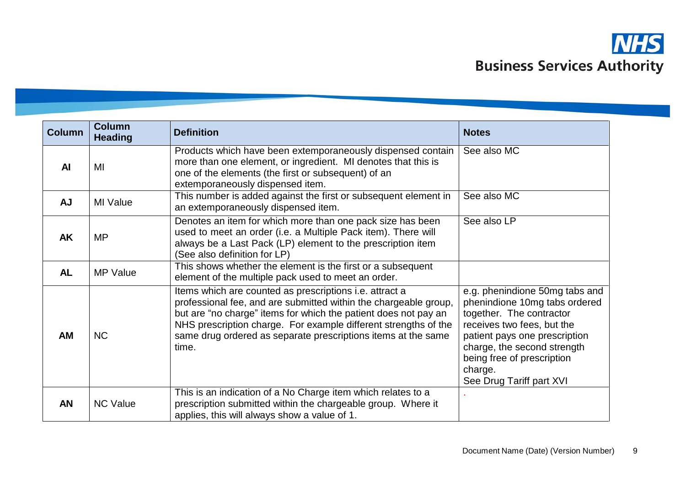

| <b>Column</b> | <b>Column</b><br><b>Heading</b> | <b>Definition</b>                                                                                                                                                                                                                                                                                                                                  | <b>Notes</b>                                                                                                                                                                                                                                                   |
|---------------|---------------------------------|----------------------------------------------------------------------------------------------------------------------------------------------------------------------------------------------------------------------------------------------------------------------------------------------------------------------------------------------------|----------------------------------------------------------------------------------------------------------------------------------------------------------------------------------------------------------------------------------------------------------------|
| <b>AI</b>     | MI                              | Products which have been extemporaneously dispensed contain<br>more than one element, or ingredient. MI denotes that this is<br>one of the elements (the first or subsequent) of an<br>extemporaneously dispensed item.                                                                                                                            | See also MC                                                                                                                                                                                                                                                    |
| <b>AJ</b>     | MI Value                        | This number is added against the first or subsequent element in<br>an extemporaneously dispensed item.                                                                                                                                                                                                                                             | See also MC                                                                                                                                                                                                                                                    |
| <b>AK</b>     | <b>MP</b>                       | Denotes an item for which more than one pack size has been<br>used to meet an order (i.e. a Multiple Pack item). There will<br>always be a Last Pack (LP) element to the prescription item<br>(See also definition for LP)                                                                                                                         | See also LP                                                                                                                                                                                                                                                    |
| <b>AL</b>     | <b>MP Value</b>                 | This shows whether the element is the first or a subsequent<br>element of the multiple pack used to meet an order.                                                                                                                                                                                                                                 |                                                                                                                                                                                                                                                                |
| AM            | <b>NC</b>                       | Items which are counted as prescriptions <i>i.e.</i> attract a<br>professional fee, and are submitted within the chargeable group,<br>but are "no charge" items for which the patient does not pay an<br>NHS prescription charge. For example different strengths of the<br>same drug ordered as separate prescriptions items at the same<br>time. | e.g. phenindione 50mg tabs and<br>phenindione 10mg tabs ordered<br>together. The contractor<br>receives two fees, but the<br>patient pays one prescription<br>charge, the second strength<br>being free of prescription<br>charge.<br>See Drug Tariff part XVI |
| <b>AN</b>     | <b>NC Value</b>                 | This is an indication of a No Charge item which relates to a<br>prescription submitted within the chargeable group. Where it<br>applies, this will always show a value of 1.                                                                                                                                                                       |                                                                                                                                                                                                                                                                |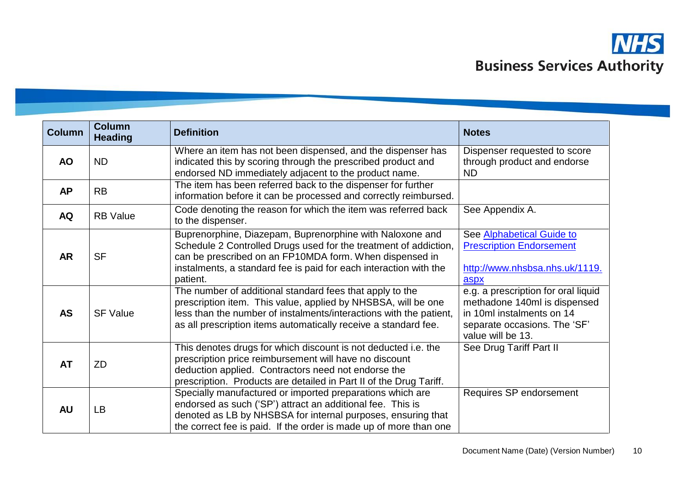

| <b>Column</b> | <b>Column</b><br><b>Heading</b> | <b>Definition</b>                                                                                                                                                                                                                                                        | <b>Notes</b>                                                                                                                                          |
|---------------|---------------------------------|--------------------------------------------------------------------------------------------------------------------------------------------------------------------------------------------------------------------------------------------------------------------------|-------------------------------------------------------------------------------------------------------------------------------------------------------|
| <b>AO</b>     | <b>ND</b>                       | Where an item has not been dispensed, and the dispenser has<br>indicated this by scoring through the prescribed product and<br>endorsed ND immediately adjacent to the product name.                                                                                     | Dispenser requested to score<br>through product and endorse<br><b>ND</b>                                                                              |
| <b>AP</b>     | <b>RB</b>                       | The item has been referred back to the dispenser for further<br>information before it can be processed and correctly reimbursed.                                                                                                                                         |                                                                                                                                                       |
| <b>AQ</b>     | <b>RB</b> Value                 | Code denoting the reason for which the item was referred back<br>to the dispenser.                                                                                                                                                                                       | See Appendix A.                                                                                                                                       |
| <b>AR</b>     | <b>SF</b>                       | Buprenorphine, Diazepam, Buprenorphine with Naloxone and<br>Schedule 2 Controlled Drugs used for the treatment of addiction,<br>can be prescribed on an FP10MDA form. When dispensed in<br>instalments, a standard fee is paid for each interaction with the<br>patient. | See Alphabetical Guide to<br><b>Prescription Endorsement</b><br>http://www.nhsbsa.nhs.uk/1119.<br>aspx                                                |
| <b>AS</b>     | <b>SF Value</b>                 | The number of additional standard fees that apply to the<br>prescription item. This value, applied by NHSBSA, will be one<br>less than the number of instalments/interactions with the patient,<br>as all prescription items automatically receive a standard fee.       | e.g. a prescription for oral liquid<br>methadone 140ml is dispensed<br>in 10ml instalments on 14<br>separate occasions. The 'SF'<br>value will be 13. |
| <b>AT</b>     | ZD                              | This denotes drugs for which discount is not deducted i.e. the<br>prescription price reimbursement will have no discount<br>deduction applied. Contractors need not endorse the<br>prescription. Products are detailed in Part II of the Drug Tariff.                    | See Drug Tariff Part II                                                                                                                               |
| <b>AU</b>     | LB                              | Specially manufactured or imported preparations which are<br>endorsed as such ('SP') attract an additional fee. This is<br>denoted as LB by NHSBSA for internal purposes, ensuring that<br>the correct fee is paid. If the order is made up of more than one             | Requires SP endorsement                                                                                                                               |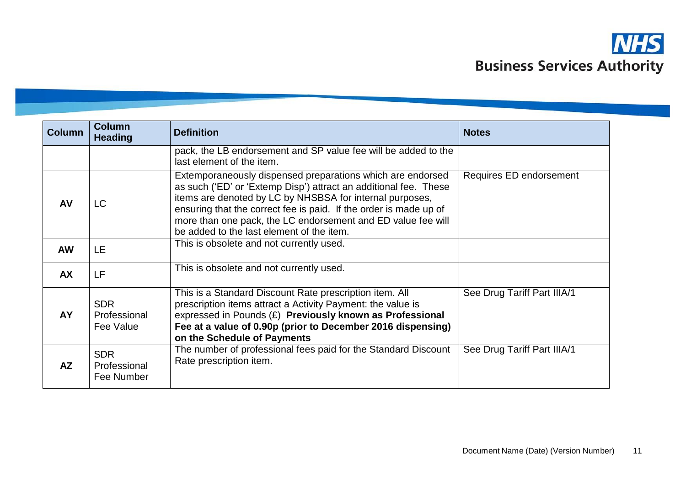

| <b>Column</b> | <b>Column</b><br><b>Heading</b>          | <b>Definition</b>                                                                                                                                                                                                                                                                                                                                                            | <b>Notes</b>                |
|---------------|------------------------------------------|------------------------------------------------------------------------------------------------------------------------------------------------------------------------------------------------------------------------------------------------------------------------------------------------------------------------------------------------------------------------------|-----------------------------|
|               |                                          | pack, the LB endorsement and SP value fee will be added to the<br>last element of the item.                                                                                                                                                                                                                                                                                  |                             |
| <b>AV</b>     | LC.                                      | Extemporaneously dispensed preparations which are endorsed<br>as such ('ED' or 'Extemp Disp') attract an additional fee. These<br>items are denoted by LC by NHSBSA for internal purposes,<br>ensuring that the correct fee is paid. If the order is made up of<br>more than one pack, the LC endorsement and ED value fee will<br>be added to the last element of the item. | Requires ED endorsement     |
| <b>AW</b>     | LE                                       | This is obsolete and not currently used.                                                                                                                                                                                                                                                                                                                                     |                             |
| <b>AX</b>     | LF                                       | This is obsolete and not currently used.                                                                                                                                                                                                                                                                                                                                     |                             |
| AY            | <b>SDR</b><br>Professional<br>Fee Value  | This is a Standard Discount Rate prescription item. All<br>prescription items attract a Activity Payment: the value is<br>expressed in Pounds (£) Previously known as Professional<br>Fee at a value of 0.90p (prior to December 2016 dispensing)<br>on the Schedule of Payments                                                                                             | See Drug Tariff Part IIIA/1 |
| AZ            | <b>SDR</b><br>Professional<br>Fee Number | The number of professional fees paid for the Standard Discount<br>Rate prescription item.                                                                                                                                                                                                                                                                                    | See Drug Tariff Part IIIA/1 |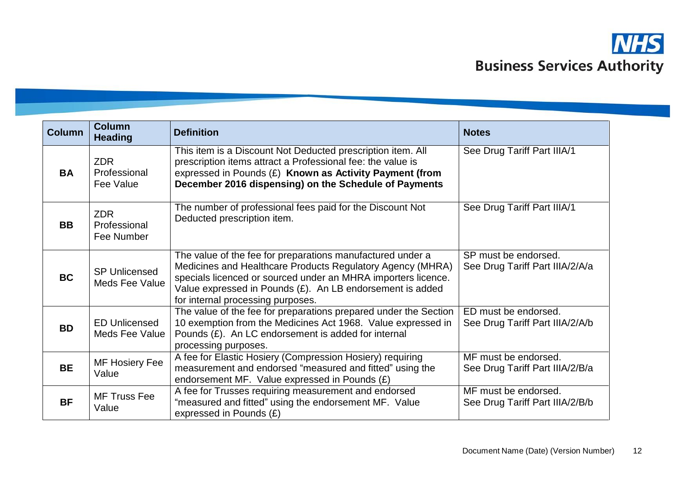

| <b>Column</b> | <b>Column</b><br><b>Heading</b>               | <b>Definition</b>                                                                                                                                                                                                                                                                           | <b>Notes</b>                                            |
|---------------|-----------------------------------------------|---------------------------------------------------------------------------------------------------------------------------------------------------------------------------------------------------------------------------------------------------------------------------------------------|---------------------------------------------------------|
| <b>BA</b>     | <b>ZDR</b><br>Professional<br>Fee Value       | This item is a Discount Not Deducted prescription item. All<br>prescription items attract a Professional fee: the value is<br>expressed in Pounds (£) Known as Activity Payment (from<br>December 2016 dispensing) on the Schedule of Payments                                              | See Drug Tariff Part IIIA/1                             |
| <b>BB</b>     | <b>ZDR</b><br>Professional<br>Fee Number      | The number of professional fees paid for the Discount Not<br>Deducted prescription item.                                                                                                                                                                                                    | See Drug Tariff Part IIIA/1                             |
| <b>BC</b>     | <b>SP Unlicensed</b><br>Meds Fee Value        | The value of the fee for preparations manufactured under a<br>Medicines and Healthcare Products Regulatory Agency (MHRA)<br>specials licenced or sourced under an MHRA importers licence.<br>Value expressed in Pounds (£). An LB endorsement is added<br>for internal processing purposes. | SP must be endorsed.<br>See Drug Tariff Part IIIA/2/A/a |
| <b>BD</b>     | <b>ED Unlicensed</b><br><b>Meds Fee Value</b> | The value of the fee for preparations prepared under the Section<br>10 exemption from the Medicines Act 1968. Value expressed in<br>Pounds $(E)$ . An LC endorsement is added for internal<br>processing purposes.                                                                          | ED must be endorsed.<br>See Drug Tariff Part IIIA/2/A/b |
| <b>BE</b>     | <b>MF Hosiery Fee</b><br>Value                | A fee for Elastic Hosiery (Compression Hosiery) requiring<br>measurement and endorsed "measured and fitted" using the<br>endorsement MF. Value expressed in Pounds $(E)$                                                                                                                    | MF must be endorsed.<br>See Drug Tariff Part IIIA/2/B/a |
| <b>BF</b>     | <b>MF Truss Fee</b><br>Value                  | A fee for Trusses requiring measurement and endorsed<br>"measured and fitted" using the endorsement MF. Value<br>expressed in Pounds (£)                                                                                                                                                    | MF must be endorsed.<br>See Drug Tariff Part IIIA/2/B/b |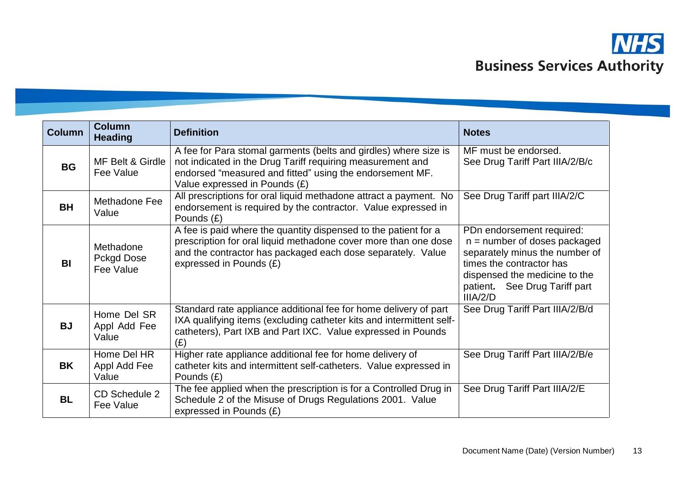

| <b>Column</b> | <b>Column</b><br><b>Heading</b>             | <b>Definition</b>                                                                                                                                                                                                            | <b>Notes</b>                                                                                                                                                                                            |
|---------------|---------------------------------------------|------------------------------------------------------------------------------------------------------------------------------------------------------------------------------------------------------------------------------|---------------------------------------------------------------------------------------------------------------------------------------------------------------------------------------------------------|
| <b>BG</b>     | MF Belt & Girdle<br>Fee Value               | A fee for Para stomal garments (belts and girdles) where size is<br>not indicated in the Drug Tariff requiring measurement and<br>endorsed "measured and fitted" using the endorsement MF.<br>Value expressed in Pounds (£)  | MF must be endorsed.<br>See Drug Tariff Part IIIA/2/B/c                                                                                                                                                 |
| <b>BH</b>     | Methadone Fee<br>Value                      | All prescriptions for oral liquid methadone attract a payment. No<br>endorsement is required by the contractor. Value expressed in<br>Pounds (£)                                                                             | See Drug Tariff part IIIA/2/C                                                                                                                                                                           |
| <b>BI</b>     | Methadone<br><b>Pckgd Dose</b><br>Fee Value | A fee is paid where the quantity dispensed to the patient for a<br>prescription for oral liquid methadone cover more than one dose<br>and the contractor has packaged each dose separately. Value<br>expressed in Pounds (£) | PDn endorsement required:<br>$n =$ number of doses packaged<br>separately minus the number of<br>times the contractor has<br>dispensed the medicine to the<br>patient. See Drug Tariff part<br>IIIA/2/D |
| <b>BJ</b>     | Home Del SR<br>Appl Add Fee<br>Value        | Standard rate appliance additional fee for home delivery of part<br>IXA qualifying items (excluding catheter kits and intermittent self-<br>catheters), Part IXB and Part IXC. Value expressed in Pounds<br>(E)              | See Drug Tariff Part IIIA/2/B/d                                                                                                                                                                         |
| BK            | Home Del HR<br>Appl Add Fee<br>Value        | Higher rate appliance additional fee for home delivery of<br>catheter kits and intermittent self-catheters. Value expressed in<br>Pounds $(E)$                                                                               | See Drug Tariff Part IIIA/2/B/e                                                                                                                                                                         |
| <b>BL</b>     | CD Schedule 2<br>Fee Value                  | The fee applied when the prescription is for a Controlled Drug in<br>Schedule 2 of the Misuse of Drugs Regulations 2001. Value<br>expressed in Pounds (£)                                                                    | See Drug Tariff Part IIIA/2/E                                                                                                                                                                           |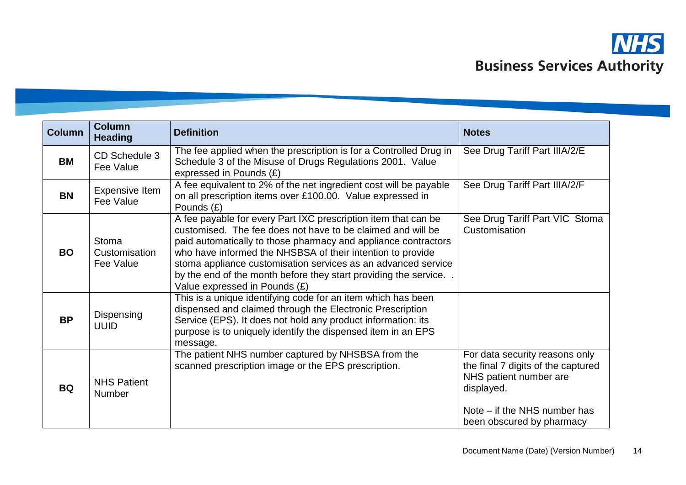

| <b>Column</b> | <b>Column</b><br><b>Heading</b>     | <b>Definition</b>                                                                                                                                                                                                                                                                                                                                                                                                                  | <b>Notes</b>                                                                                                                                                              |
|---------------|-------------------------------------|------------------------------------------------------------------------------------------------------------------------------------------------------------------------------------------------------------------------------------------------------------------------------------------------------------------------------------------------------------------------------------------------------------------------------------|---------------------------------------------------------------------------------------------------------------------------------------------------------------------------|
| <b>BM</b>     | CD Schedule 3<br>Fee Value          | The fee applied when the prescription is for a Controlled Drug in<br>Schedule 3 of the Misuse of Drugs Regulations 2001. Value<br>expressed in Pounds (£)                                                                                                                                                                                                                                                                          | See Drug Tariff Part IIIA/2/E                                                                                                                                             |
| <b>BN</b>     | <b>Expensive Item</b><br>Fee Value  | A fee equivalent to 2% of the net ingredient cost will be payable<br>on all prescription items over £100.00. Value expressed in<br>Pounds $(E)$                                                                                                                                                                                                                                                                                    | See Drug Tariff Part IIIA/2/F                                                                                                                                             |
| <b>BO</b>     | Stoma<br>Customisation<br>Fee Value | A fee payable for every Part IXC prescription item that can be<br>customised. The fee does not have to be claimed and will be<br>paid automatically to those pharmacy and appliance contractors<br>who have informed the NHSBSA of their intention to provide<br>stoma appliance customisation services as an advanced service<br>by the end of the month before they start providing the service<br>Value expressed in Pounds (£) | See Drug Tariff Part VIC Stoma<br>Customisation                                                                                                                           |
| <b>BP</b>     | Dispensing<br><b>UUID</b>           | This is a unique identifying code for an item which has been<br>dispensed and claimed through the Electronic Prescription<br>Service (EPS). It does not hold any product information: its<br>purpose is to uniquely identify the dispensed item in an EPS<br>message.                                                                                                                                                              |                                                                                                                                                                           |
| <b>BQ</b>     | <b>NHS Patient</b><br><b>Number</b> | The patient NHS number captured by NHSBSA from the<br>scanned prescription image or the EPS prescription.                                                                                                                                                                                                                                                                                                                          | For data security reasons only<br>the final 7 digits of the captured<br>NHS patient number are<br>displayed.<br>Note – if the NHS number has<br>been obscured by pharmacy |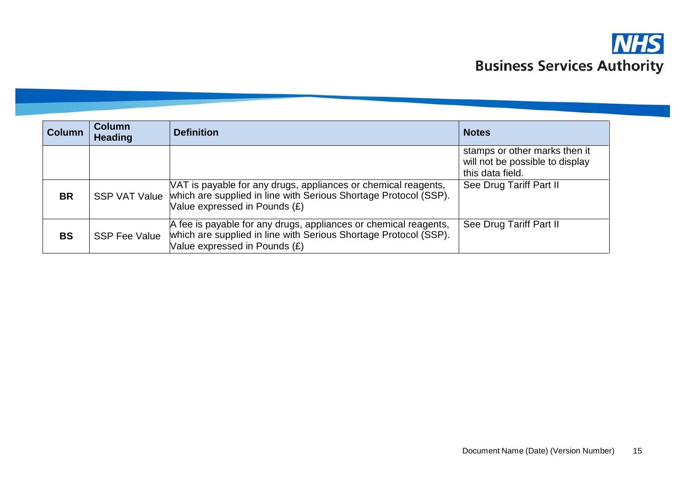

| <b>Column</b> | <b>Column</b><br><b>Heading</b> | <b>Definition</b>                                                                                                                                                     | <b>Notes</b>                                                                         |
|---------------|---------------------------------|-----------------------------------------------------------------------------------------------------------------------------------------------------------------------|--------------------------------------------------------------------------------------|
|               |                                 |                                                                                                                                                                       | stamps or other marks then it<br>will not be possible to display<br>this data field. |
| <b>BR</b>     | <b>SSP VAT Value</b>            | VAT is payable for any drugs, appliances or chemical reagents,<br>which are supplied in line with Serious Shortage Protocol (SSP).<br>Value expressed in Pounds (£)   | See Drug Tariff Part II                                                              |
| <b>BS</b>     | <b>SSP Fee Value</b>            | A fee is payable for any drugs, appliances or chemical reagents,<br>which are supplied in line with Serious Shortage Protocol (SSP).<br>Value expressed in Pounds (£) | See Drug Tariff Part II                                                              |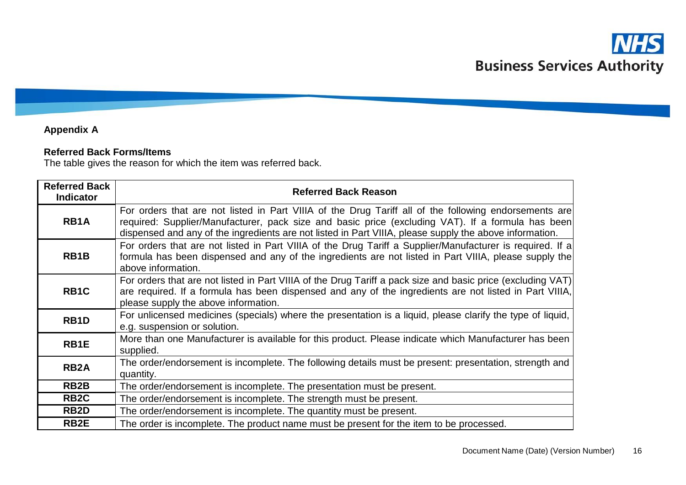## **Appendix A**

### **Referred Back Forms/Items**

The table gives the reason for which the item was referred back.

| <b>Referred Back</b><br><b>Indicator</b> | <b>Referred Back Reason</b>                                                                                                                                                                                                                                                                                           |
|------------------------------------------|-----------------------------------------------------------------------------------------------------------------------------------------------------------------------------------------------------------------------------------------------------------------------------------------------------------------------|
| RB <sub>1</sub> A                        | For orders that are not listed in Part VIIIA of the Drug Tariff all of the following endorsements are<br>required: Supplier/Manufacturer, pack size and basic price (excluding VAT). If a formula has been<br>dispensed and any of the ingredients are not listed in Part VIIIA, please supply the above information. |
| RB <sub>1</sub> B                        | For orders that are not listed in Part VIIIA of the Drug Tariff a Supplier/Manufacturer is required. If a<br>formula has been dispensed and any of the ingredients are not listed in Part VIIIA, please supply the<br>above information.                                                                              |
| RB <sub>1</sub> C                        | For orders that are not listed in Part VIIIA of the Drug Tariff a pack size and basic price (excluding VAT)<br>are required. If a formula has been dispensed and any of the ingredients are not listed in Part VIIIA,<br>please supply the above information.                                                         |
| RB <sub>1</sub> D                        | For unlicensed medicines (specials) where the presentation is a liquid, please clarify the type of liquid,<br>e.g. suspension or solution.                                                                                                                                                                            |
| RB1E                                     | More than one Manufacturer is available for this product. Please indicate which Manufacturer has been<br>supplied.                                                                                                                                                                                                    |
| <b>RB2A</b>                              | The order/endorsement is incomplete. The following details must be present: presentation, strength and<br>quantity.                                                                                                                                                                                                   |
| RB <sub>2</sub> B                        | The order/endorsement is incomplete. The presentation must be present.                                                                                                                                                                                                                                                |
| RB <sub>2</sub> C                        | The order/endorsement is incomplete. The strength must be present.                                                                                                                                                                                                                                                    |
| RB <sub>2</sub> D                        | The order/endorsement is incomplete. The quantity must be present.                                                                                                                                                                                                                                                    |
| RB <sub>2</sub> E                        | The order is incomplete. The product name must be present for the item to be processed.                                                                                                                                                                                                                               |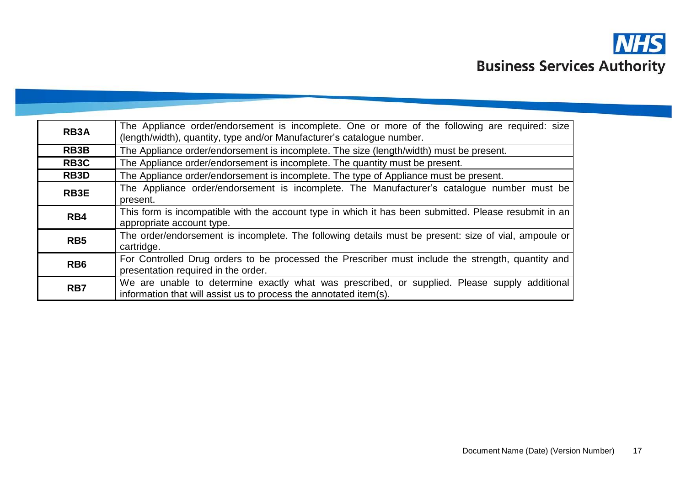

| <b>RB3A</b>       | The Appliance order/endorsement is incomplete. One or more of the following are required: size<br>(length/width), quantity, type and/or Manufacturer's catalogue number. |  |
|-------------------|--------------------------------------------------------------------------------------------------------------------------------------------------------------------------|--|
| RB3B              | The Appliance order/endorsement is incomplete. The size (length/width) must be present.                                                                                  |  |
| RB <sub>3</sub> C | The Appliance order/endorsement is incomplete. The quantity must be present.                                                                                             |  |
| RB3D              | The Appliance order/endorsement is incomplete. The type of Appliance must be present.                                                                                    |  |
| RB <sub>3</sub> E | The Appliance order/endorsement is incomplete. The Manufacturer's catalogue number must be<br>present.                                                                   |  |
| RB4               | This form is incompatible with the account type in which it has been submitted. Please resubmit in an<br>appropriate account type.                                       |  |
| RB <sub>5</sub>   | The order/endorsement is incomplete. The following details must be present: size of vial, ampoule or<br>cartridge.                                                       |  |
| RB <sub>6</sub>   | For Controlled Drug orders to be processed the Prescriber must include the strength, quantity and<br>presentation required in the order.                                 |  |
| RB7               | We are unable to determine exactly what was prescribed, or supplied. Please supply additional<br>information that will assist us to process the annotated item(s).       |  |